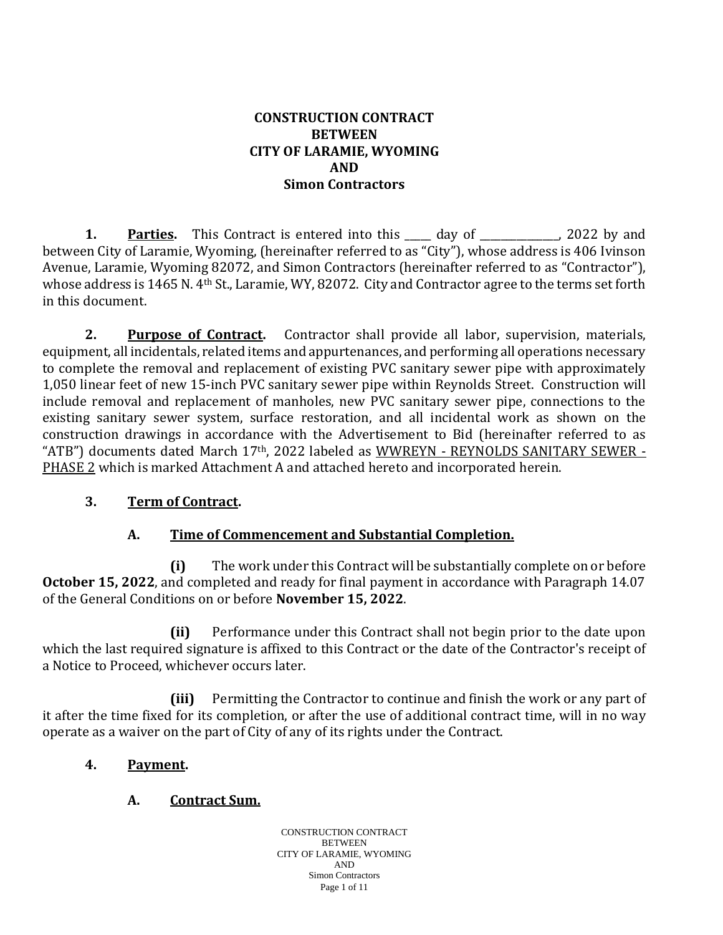#### **CONSTRUCTION CONTRACT BETWEEN CITY OF LARAMIE, WYOMING AND Simon Contractors**

**1. Parties.** This Contract is entered into this day of the particle particle particle particle particle particle particle particle particle particle particle particle particle particle particle particle particle particl between City of Laramie, Wyoming, (hereinafter referred to as "City"), whose address is 406 Ivinson Avenue, Laramie, Wyoming 82072, and Simon Contractors (hereinafter referred to as "Contractor"), whose address is 1465 N. 4th St., Laramie, WY, 82072. City and Contractor agree to the terms set forth in this document.

**2. Purpose of Contract.** Contractor shall provide all labor, supervision, materials, equipment, all incidentals, related items and appurtenances, and performing all operations necessary to complete the removal and replacement of existing PVC sanitary sewer pipe with approximately 1,050 linear feet of new 15-inch PVC sanitary sewer pipe within Reynolds Street. Construction will include removal and replacement of manholes, new PVC sanitary sewer pipe, connections to the existing sanitary sewer system, surface restoration, and all incidental work as shown on the construction drawings in accordance with the Advertisement to Bid (hereinafter referred to as "ATB") documents dated March 17th, 2022 labeled as WWREYN - REYNOLDS SANITARY SEWER - PHASE 2 which is marked Attachment A and attached hereto and incorporated herein.

### **3. Term of Contract.**

### **A. Time of Commencement and Substantial Completion.**

**(i)** The work under this Contract will be substantially complete on or before **October 15, 2022**, and completed and ready for final payment in accordance with Paragraph 14.07 of the General Conditions on or before **November 15, 2022**.

**(ii)** Performance under this Contract shall not begin prior to the date upon which the last required signature is affixed to this Contract or the date of the Contractor's receipt of a Notice to Proceed, whichever occurs later.

**(iii)** Permitting the Contractor to continue and finish the work or any part of it after the time fixed for its completion, or after the use of additional contract time, will in no way operate as a waiver on the part of City of any of its rights under the Contract.

#### **4. Payment.**

### **A. Contract Sum.**

CONSTRUCTION CONTRACT **BETWEEN** CITY OF LARAMIE, WYOMING AND Simon Contractors Page 1 of 11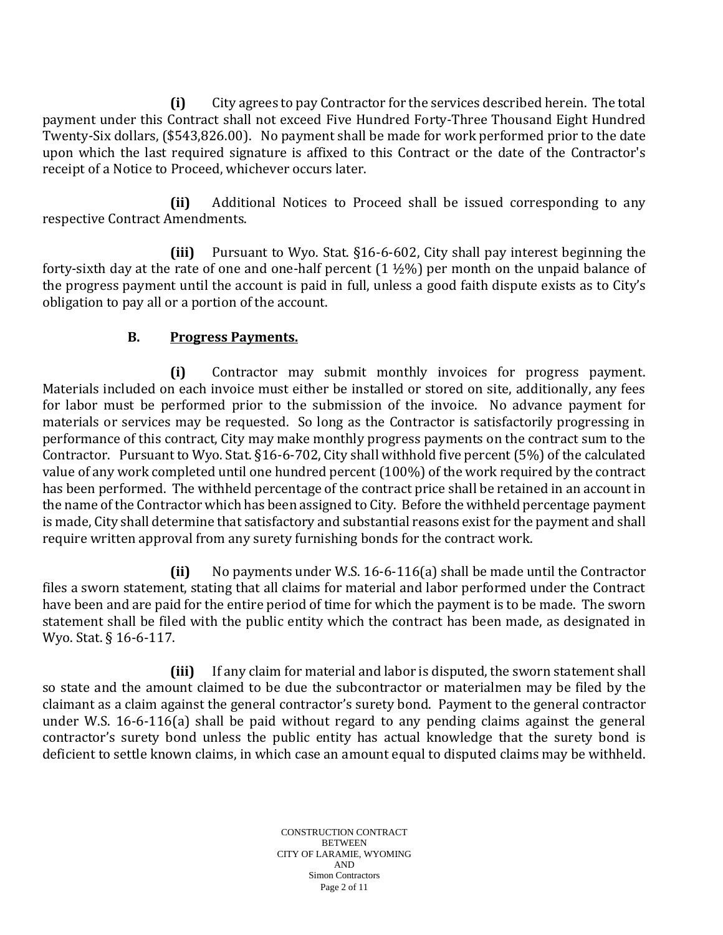**(i)** City agrees to pay Contractor for the services described herein. The total payment under this Contract shall not exceed Five Hundred Forty-Three Thousand Eight Hundred Twenty-Six dollars, (\$543,826.00). No payment shall be made for work performed prior to the date upon which the last required signature is affixed to this Contract or the date of the Contractor's receipt of a Notice to Proceed, whichever occurs later.

**(ii)** Additional Notices to Proceed shall be issued corresponding to any respective Contract Amendments.

**(iii)** Pursuant to Wyo. Stat. §16-6-602, City shall pay interest beginning the forty-sixth day at the rate of one and one-half percent  $(1 \frac{1}{2}\%)$  per month on the unpaid balance of the progress payment until the account is paid in full, unless a good faith dispute exists as to City's obligation to pay all or a portion of the account.

### **B. Progress Payments.**

**(i)** Contractor may submit monthly invoices for progress payment. Materials included on each invoice must either be installed or stored on site, additionally, any fees for labor must be performed prior to the submission of the invoice. No advance payment for materials or services may be requested. So long as the Contractor is satisfactorily progressing in performance of this contract, City may make monthly progress payments on the contract sum to the Contractor. Pursuant to Wyo. Stat. §16-6-702, City shall withhold five percent (5%) of the calculated value of any work completed until one hundred percent (100%) of the work required by the contract has been performed. The withheld percentage of the contract price shall be retained in an account in the name of the Contractor which has been assigned to City. Before the withheld percentage payment is made, City shall determine that satisfactory and substantial reasons exist for the payment and shall require written approval from any surety furnishing bonds for the contract work.

**(ii)** No payments under W.S. 16-6-116(a) shall be made until the Contractor files a sworn statement, stating that all claims for material and labor performed under the Contract have been and are paid for the entire period of time for which the payment is to be made. The sworn statement shall be filed with the public entity which the contract has been made, as designated in Wyo. Stat. § 16-6-117.

**(iii)** If any claim for material and labor is disputed, the sworn statement shall so state and the amount claimed to be due the subcontractor or materialmen may be filed by the claimant as a claim against the general contractor's surety bond. Payment to the general contractor under W.S. 16-6-116(a) shall be paid without regard to any pending claims against the general contractor's surety bond unless the public entity has actual knowledge that the surety bond is deficient to settle known claims, in which case an amount equal to disputed claims may be withheld.

> CONSTRUCTION CONTRACT **BETWEEN** CITY OF LARAMIE, WYOMING AND Simon Contractors Page 2 of 11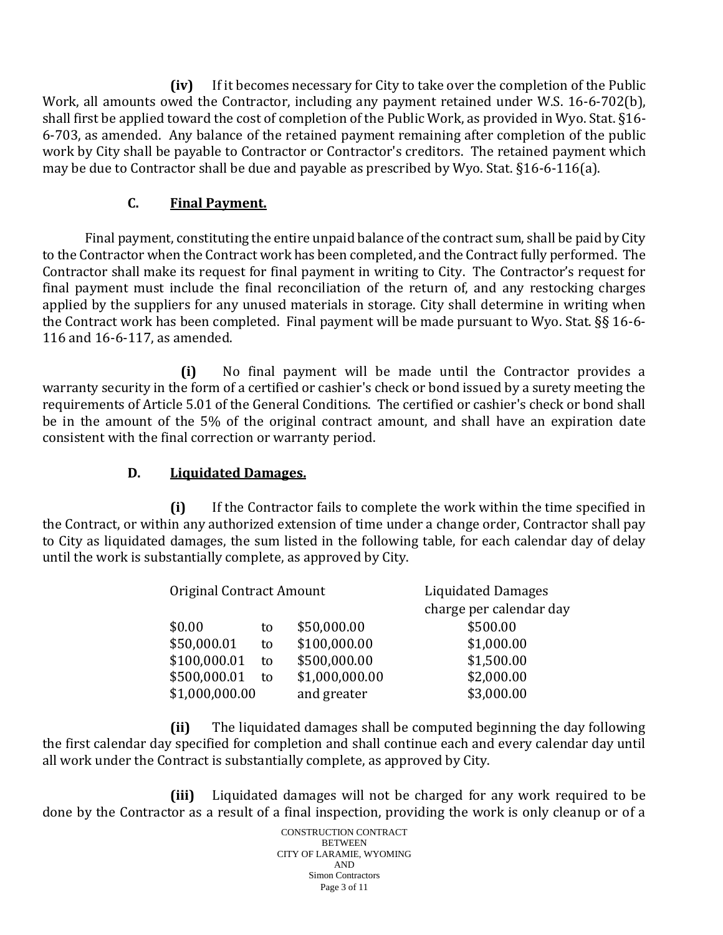**(iv)** If it becomes necessary for City to take over the completion of the Public Work, all amounts owed the Contractor, including any payment retained under W.S. 16-6-702(b), shall first be applied toward the cost of completion of the Public Work, as provided in Wyo. Stat. §16- 6-703, as amended. Any balance of the retained payment remaining after completion of the public work by City shall be payable to Contractor or Contractor's creditors. The retained payment which may be due to Contractor shall be due and payable as prescribed by Wyo. Stat. §16-6-116(a).

### **C. Final Payment.**

Final payment, constituting the entire unpaid balance of the contract sum, shall be paid by City to the Contractor when the Contract work has been completed, and the Contract fully performed. The Contractor shall make its request for final payment in writing to City. The Contractor's request for final payment must include the final reconciliation of the return of, and any restocking charges applied by the suppliers for any unused materials in storage. City shall determine in writing when the Contract work has been completed. Final payment will be made pursuant to Wyo. Stat. §§ 16-6- 116 and 16-6-117, as amended.

**(i)** No final payment will be made until the Contractor provides a warranty security in the form of a certified or cashier's check or bond issued by a surety meeting the requirements of Article 5.01 of the General Conditions. The certified or cashier's check or bond shall be in the amount of the 5% of the original contract amount, and shall have an expiration date consistent with the final correction or warranty period.

### **D. Liquidated Damages.**

**(i)** If the Contractor fails to complete the work within the time specified in the Contract, or within any authorized extension of time under a change order, Contractor shall pay to City as liquidated damages, the sum listed in the following table, for each calendar day of delay until the work is substantially complete, as approved by City.

| Original Contract Amount |    |                | <b>Liquidated Damages</b> |
|--------------------------|----|----------------|---------------------------|
|                          |    |                | charge per calendar day   |
| \$0.00                   | to | \$50,000.00    | \$500.00                  |
| \$50,000.01              | to | \$100,000.00   | \$1,000.00                |
| \$100,000.01             | to | \$500,000.00   | \$1,500.00                |
| \$500,000.01             | to | \$1,000,000.00 | \$2,000.00                |
| \$1,000,000.00           |    | and greater    | \$3,000.00                |

**(ii)** The liquidated damages shall be computed beginning the day following the first calendar day specified for completion and shall continue each and every calendar day until all work under the Contract is substantially complete, as approved by City.

**(iii)** Liquidated damages will not be charged for any work required to be done by the Contractor as a result of a final inspection, providing the work is only cleanup or of a

> CONSTRUCTION CONTRACT **BETWEEN** CITY OF LARAMIE, WYOMING AND Simon Contractors Page 3 of 11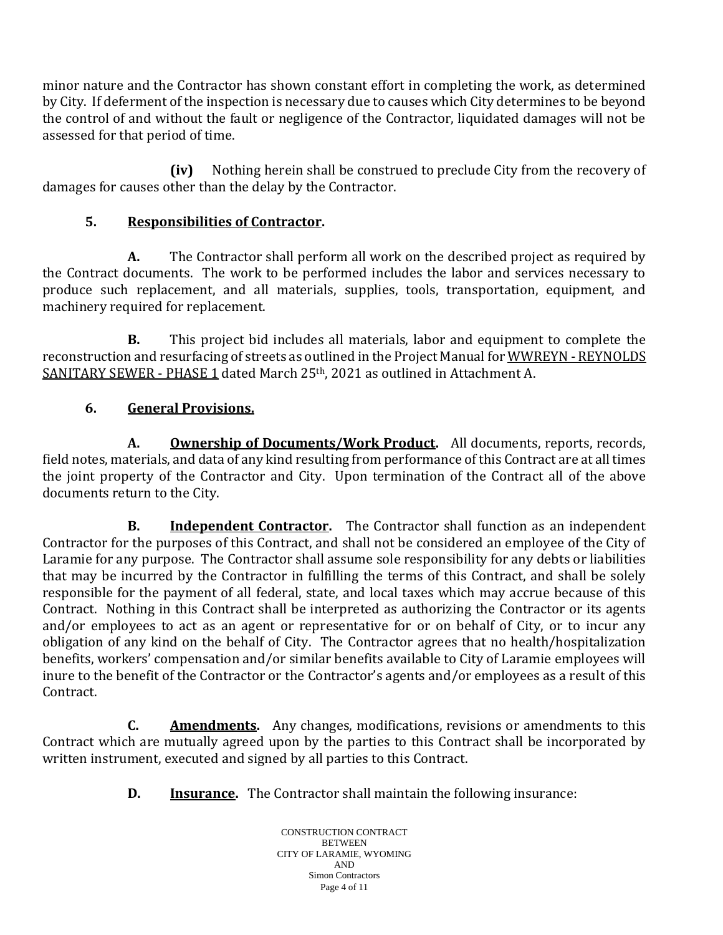minor nature and the Contractor has shown constant effort in completing the work, as determined by City. If deferment of the inspection is necessary due to causes which City determines to be beyond the control of and without the fault or negligence of the Contractor, liquidated damages will not be assessed for that period of time.

**(iv)** Nothing herein shall be construed to preclude City from the recovery of damages for causes other than the delay by the Contractor.

# **5. Responsibilities of Contractor.**

**A.** The Contractor shall perform all work on the described project as required by the Contract documents. The work to be performed includes the labor and services necessary to produce such replacement, and all materials, supplies, tools, transportation, equipment, and machinery required for replacement.

**B.** This project bid includes all materials, labor and equipment to complete the reconstruction and resurfacing of streets as outlined in the Project Manual for WWREYN - REYNOLDS SANITARY SEWER - PHASE 1 dated March 25<sup>th</sup>, 2021 as outlined in Attachment A.

# **6. General Provisions.**

**A. Ownership of Documents/Work Product.** All documents, reports, records, field notes, materials, and data of any kind resulting from performance of this Contract are at all times the joint property of the Contractor and City. Upon termination of the Contract all of the above documents return to the City.

**B. Independent Contractor.** The Contractor shall function as an independent Contractor for the purposes of this Contract, and shall not be considered an employee of the City of Laramie for any purpose. The Contractor shall assume sole responsibility for any debts or liabilities that may be incurred by the Contractor in fulfilling the terms of this Contract, and shall be solely responsible for the payment of all federal, state, and local taxes which may accrue because of this Contract. Nothing in this Contract shall be interpreted as authorizing the Contractor or its agents and/or employees to act as an agent or representative for or on behalf of City, or to incur any obligation of any kind on the behalf of City. The Contractor agrees that no health/hospitalization benefits, workers' compensation and/or similar benefits available to City of Laramie employees will inure to the benefit of the Contractor or the Contractor's agents and/or employees as a result of this Contract.

**C. Amendments.** Any changes, modifications, revisions or amendments to this Contract which are mutually agreed upon by the parties to this Contract shall be incorporated by written instrument, executed and signed by all parties to this Contract.

**D. Insurance.** The Contractor shall maintain the following insurance: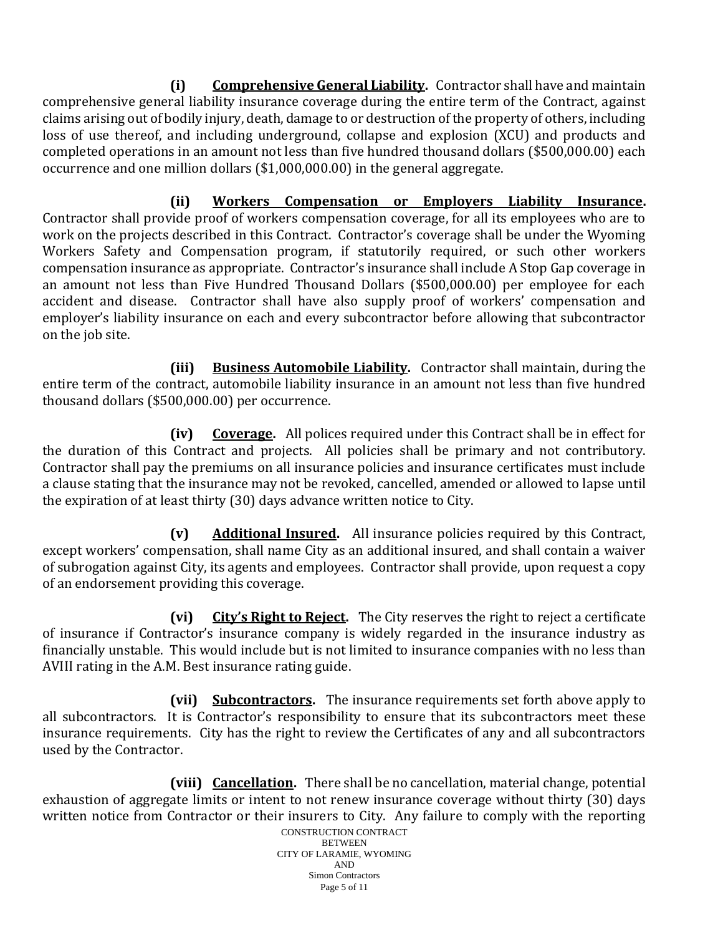**(i) Comprehensive General Liability.** Contractor shall have and maintain comprehensive general liability insurance coverage during the entire term of the Contract, against claims arising out of bodily injury, death, damage to or destruction of the property of others, including loss of use thereof, and including underground, collapse and explosion (XCU) and products and completed operations in an amount not less than five hundred thousand dollars (\$500,000.00) each occurrence and one million dollars (\$1,000,000.00) in the general aggregate.

**(ii) Workers Compensation or Employers Liability Insurance.** Contractor shall provide proof of workers compensation coverage, for all its employees who are to work on the projects described in this Contract. Contractor's coverage shall be under the Wyoming Workers Safety and Compensation program, if statutorily required, or such other workers compensation insurance as appropriate. Contractor's insurance shall include A Stop Gap coverage in an amount not less than Five Hundred Thousand Dollars (\$500,000.00) per employee for each accident and disease. Contractor shall have also supply proof of workers' compensation and employer's liability insurance on each and every subcontractor before allowing that subcontractor on the job site.

**(iii) Business Automobile Liability.** Contractor shall maintain, during the entire term of the contract, automobile liability insurance in an amount not less than five hundred thousand dollars (\$500,000.00) per occurrence.

**(iv) Coverage.** All polices required under this Contract shall be in effect for the duration of this Contract and projects. All policies shall be primary and not contributory. Contractor shall pay the premiums on all insurance policies and insurance certificates must include a clause stating that the insurance may not be revoked, cancelled, amended or allowed to lapse until the expiration of at least thirty (30) days advance written notice to City.

**(v) Additional Insured.** All insurance policies required by this Contract, except workers' compensation, shall name City as an additional insured, and shall contain a waiver of subrogation against City, its agents and employees. Contractor shall provide, upon request a copy of an endorsement providing this coverage.

**(vi) City's Right to Reject.** The City reserves the right to reject a certificate of insurance if Contractor's insurance company is widely regarded in the insurance industry as financially unstable. This would include but is not limited to insurance companies with no less than AVIII rating in the A.M. Best insurance rating guide.

**(vii) Subcontractors.** The insurance requirements set forth above apply to all subcontractors. It is Contractor's responsibility to ensure that its subcontractors meet these insurance requirements. City has the right to review the Certificates of any and all subcontractors used by the Contractor.

**(viii) Cancellation.** There shall be no cancellation, material change, potential exhaustion of aggregate limits or intent to not renew insurance coverage without thirty (30) days written notice from Contractor or their insurers to City. Any failure to comply with the reporting

CONSTRUCTION CONTRACT **BETWEEN** CITY OF LARAMIE, WYOMING AND Simon Contractors Page 5 of 11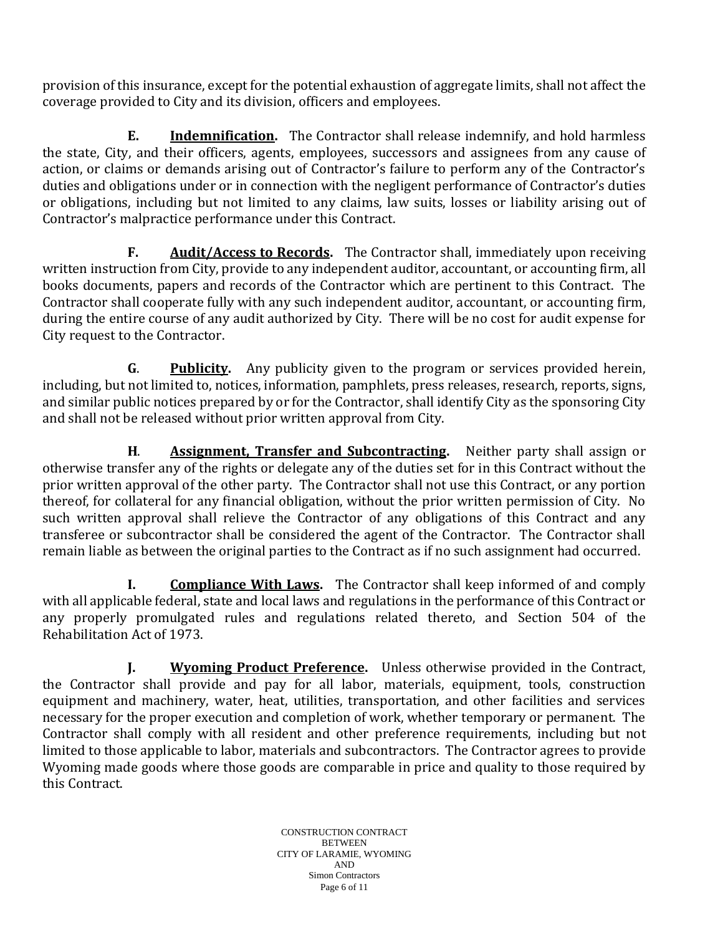provision of this insurance, except for the potential exhaustion of aggregate limits, shall not affect the coverage provided to City and its division, officers and employees.

**E. Indemnification.** The Contractor shall release indemnify, and hold harmless the state, City, and their officers, agents, employees, successors and assignees from any cause of action, or claims or demands arising out of Contractor's failure to perform any of the Contractor's duties and obligations under or in connection with the negligent performance of Contractor's duties or obligations, including but not limited to any claims, law suits, losses or liability arising out of Contractor's malpractice performance under this Contract.

**F. Audit/Access to Records.** The Contractor shall, immediately upon receiving written instruction from City, provide to any independent auditor, accountant, or accounting firm, all books documents, papers and records of the Contractor which are pertinent to this Contract. The Contractor shall cooperate fully with any such independent auditor, accountant, or accounting firm, during the entire course of any audit authorized by City. There will be no cost for audit expense for City request to the Contractor.

**G**. **Publicity.** Any publicity given to the program or services provided herein, including, but not limited to, notices, information, pamphlets, press releases, research, reports, signs, and similar public notices prepared by or for the Contractor, shall identify City as the sponsoring City and shall not be released without prior written approval from City.

**H**. **Assignment, Transfer and Subcontracting.** Neither party shall assign or otherwise transfer any of the rights or delegate any of the duties set for in this Contract without the prior written approval of the other party. The Contractor shall not use this Contract, or any portion thereof, for collateral for any financial obligation, without the prior written permission of City. No such written approval shall relieve the Contractor of any obligations of this Contract and any transferee or subcontractor shall be considered the agent of the Contractor. The Contractor shall remain liable as between the original parties to the Contract as if no such assignment had occurred.

**I. Compliance With Laws.** The Contractor shall keep informed of and comply with all applicable federal, state and local laws and regulations in the performance of this Contract or any properly promulgated rules and regulations related thereto, and Section 504 of the Rehabilitation Act of 1973.

**J. Wyoming Product Preference.** Unless otherwise provided in the Contract, the Contractor shall provide and pay for all labor, materials, equipment, tools, construction equipment and machinery, water, heat, utilities, transportation, and other facilities and services necessary for the proper execution and completion of work, whether temporary or permanent. The Contractor shall comply with all resident and other preference requirements, including but not limited to those applicable to labor, materials and subcontractors. The Contractor agrees to provide Wyoming made goods where those goods are comparable in price and quality to those required by this Contract.

> CONSTRUCTION CONTRACT **BETWEEN** CITY OF LARAMIE, WYOMING AND Simon Contractors Page 6 of 11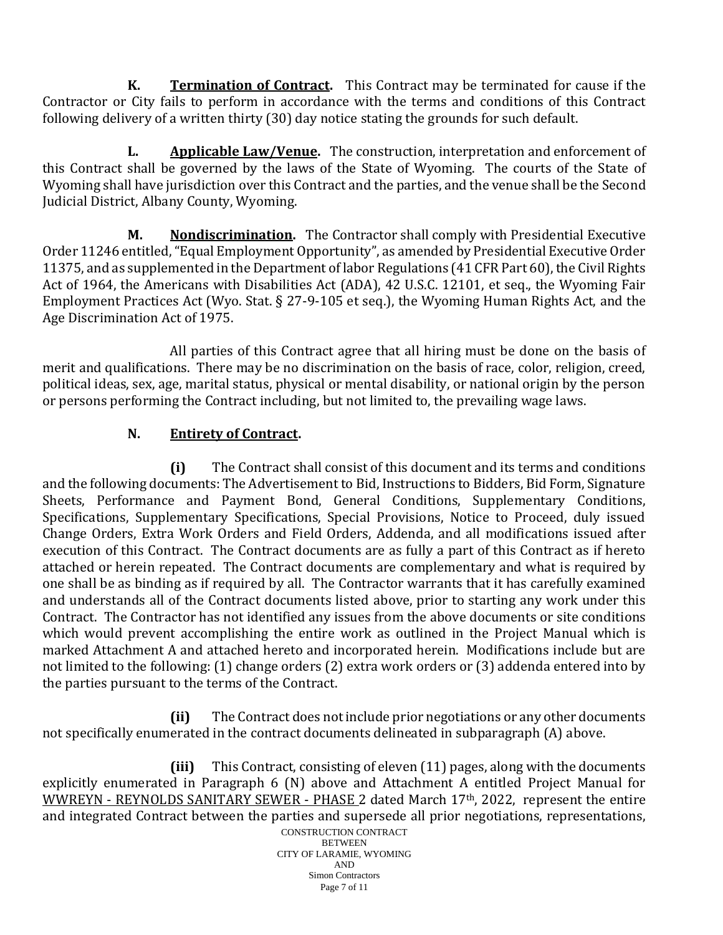**K. Termination of Contract.** This Contract may be terminated for cause if the Contractor or City fails to perform in accordance with the terms and conditions of this Contract following delivery of a written thirty (30) day notice stating the grounds for such default.

**L. Applicable Law/Venue.** The construction, interpretation and enforcement of this Contract shall be governed by the laws of the State of Wyoming. The courts of the State of Wyoming shall have jurisdiction over this Contract and the parties, and the venue shall be the Second Judicial District, Albany County, Wyoming.

**M. Nondiscrimination.** The Contractor shall comply with Presidential Executive Order 11246 entitled, "Equal Employment Opportunity", as amended by Presidential Executive Order 11375, and as supplemented in the Department of labor Regulations (41 CFR Part 60), the Civil Rights Act of 1964, the Americans with Disabilities Act (ADA), 42 U.S.C. 12101, et seq., the Wyoming Fair Employment Practices Act (Wyo. Stat. § 27-9-105 et seq.), the Wyoming Human Rights Act, and the Age Discrimination Act of 1975.

All parties of this Contract agree that all hiring must be done on the basis of merit and qualifications. There may be no discrimination on the basis of race, color, religion, creed, political ideas, sex, age, marital status, physical or mental disability, or national origin by the person or persons performing the Contract including, but not limited to, the prevailing wage laws.

### **N. Entirety of Contract.**

**(i)** The Contract shall consist of this document and its terms and conditions and the following documents: The Advertisement to Bid, Instructions to Bidders, Bid Form, Signature Sheets, Performance and Payment Bond, General Conditions, Supplementary Conditions, Specifications, Supplementary Specifications, Special Provisions, Notice to Proceed, duly issued Change Orders, Extra Work Orders and Field Orders, Addenda, and all modifications issued after execution of this Contract. The Contract documents are as fully a part of this Contract as if hereto attached or herein repeated. The Contract documents are complementary and what is required by one shall be as binding as if required by all. The Contractor warrants that it has carefully examined and understands all of the Contract documents listed above, prior to starting any work under this Contract. The Contractor has not identified any issues from the above documents or site conditions which would prevent accomplishing the entire work as outlined in the Project Manual which is marked Attachment A and attached hereto and incorporated herein. Modifications include but are not limited to the following: (1) change orders (2) extra work orders or (3) addenda entered into by the parties pursuant to the terms of the Contract.

**(ii)** The Contract does not include prior negotiations or any other documents not specifically enumerated in the contract documents delineated in subparagraph (A) above.

CONSTRUCTION CONTRACT **BETWEEN** CITY OF LARAMIE, WYOMING AND Simon Contractors **(iii)** This Contract, consisting of eleven (11) pages, along with the documents explicitly enumerated in Paragraph 6 (N) above and Attachment A entitled Project Manual for WWREYN - REYNOLDS SANITARY SEWER - PHASE 2 dated March 17th, 2022, represent the entire and integrated Contract between the parties and supersede all prior negotiations, representations,

Page 7 of 11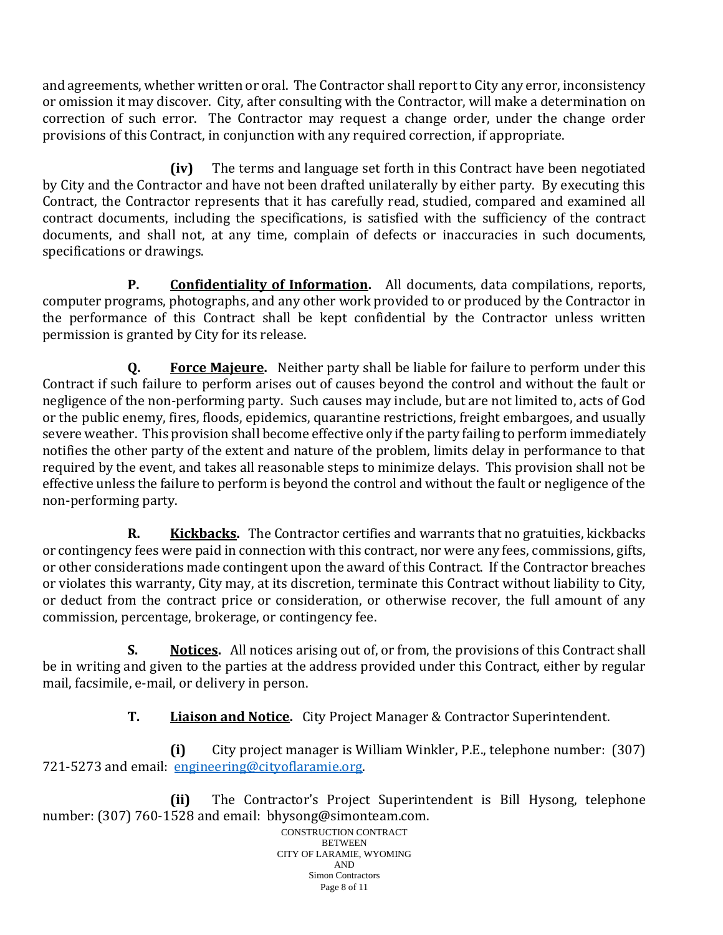and agreements, whether written or oral. The Contractor shall report to City any error, inconsistency or omission it may discover. City, after consulting with the Contractor, will make a determination on correction of such error. The Contractor may request a change order, under the change order provisions of this Contract, in conjunction with any required correction, if appropriate.

**(iv)** The terms and language set forth in this Contract have been negotiated by City and the Contractor and have not been drafted unilaterally by either party. By executing this Contract, the Contractor represents that it has carefully read, studied, compared and examined all contract documents, including the specifications, is satisfied with the sufficiency of the contract documents, and shall not, at any time, complain of defects or inaccuracies in such documents, specifications or drawings.

**P. Confidentiality of Information.** All documents, data compilations, reports, computer programs, photographs, and any other work provided to or produced by the Contractor in the performance of this Contract shall be kept confidential by the Contractor unless written permission is granted by City for its release.

**Q. Force Majeure.** Neither party shall be liable for failure to perform under this Contract if such failure to perform arises out of causes beyond the control and without the fault or negligence of the non-performing party. Such causes may include, but are not limited to, acts of God or the public enemy, fires, floods, epidemics, quarantine restrictions, freight embargoes, and usually severe weather. This provision shall become effective only if the party failing to perform immediately notifies the other party of the extent and nature of the problem, limits delay in performance to that required by the event, and takes all reasonable steps to minimize delays. This provision shall not be effective unless the failure to perform is beyond the control and without the fault or negligence of the non-performing party.

**R. Kickbacks.** The Contractor certifies and warrants that no gratuities, kickbacks or contingency fees were paid in connection with this contract, nor were any fees, commissions, gifts, or other considerations made contingent upon the award of this Contract. If the Contractor breaches or violates this warranty, City may, at its discretion, terminate this Contract without liability to City, or deduct from the contract price or consideration, or otherwise recover, the full amount of any commission, percentage, brokerage, or contingency fee.

**S. Notices.** All notices arising out of, or from, the provisions of this Contract shall be in writing and given to the parties at the address provided under this Contract, either by regular mail, facsimile, e-mail, or delivery in person.

**T. Liaison and Notice.** City Project Manager & Contractor Superintendent.

**(i)** City project manager is William Winkler, P.E., telephone number: (307) 721-5273 and email: [engineering@cityoflaramie.org.](mailto:engineering@cityoflaramie.org)

CONSTRUCTION CONTRACT **BETWEEN** CITY OF LARAMIE, WYOMING AND **(ii)** The Contractor's Project Superintendent is Bill Hysong, telephone number: (307) 760-1528 and email: bhysong@simonteam.com.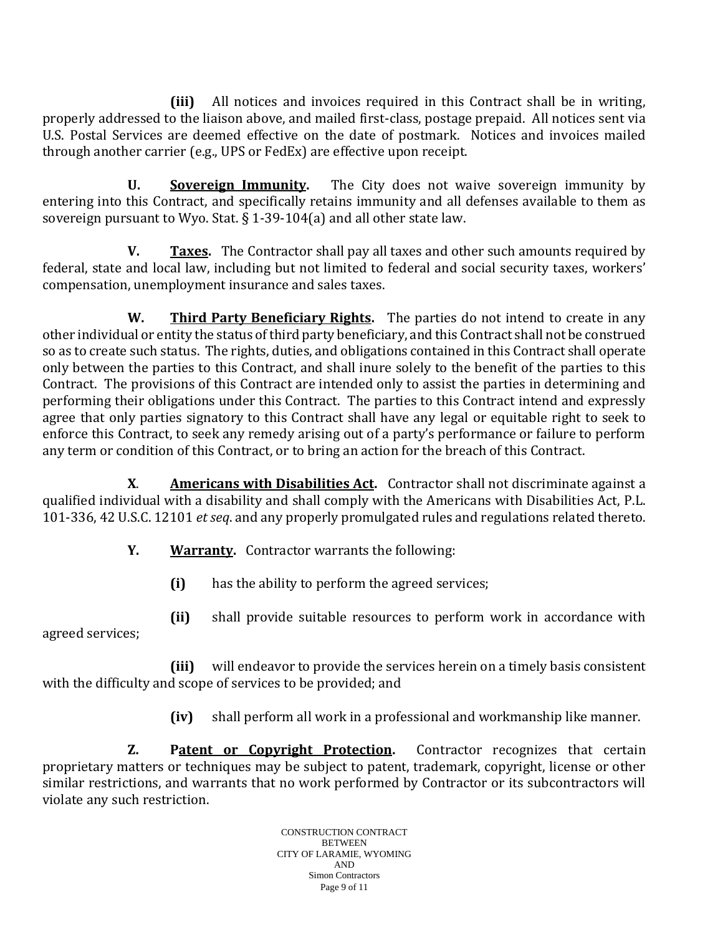**(iii)** All notices and invoices required in this Contract shall be in writing, properly addressed to the liaison above, and mailed first-class, postage prepaid. All notices sent via U.S. Postal Services are deemed effective on the date of postmark. Notices and invoices mailed through another carrier (e.g., UPS or FedEx) are effective upon receipt.

**U. Sovereign Immunity.** The City does not waive sovereign immunity by entering into this Contract, and specifically retains immunity and all defenses available to them as sovereign pursuant to Wyo. Stat. § 1-39-104(a) and all other state law.

**V. Taxes.** The Contractor shall pay all taxes and other such amounts required by federal, state and local law, including but not limited to federal and social security taxes, workers' compensation, unemployment insurance and sales taxes.

**W. Third Party Beneficiary Rights.** The parties do not intend to create in any other individual or entity the status of third party beneficiary, and this Contract shall not be construed so as to create such status. The rights, duties, and obligations contained in this Contract shall operate only between the parties to this Contract, and shall inure solely to the benefit of the parties to this Contract. The provisions of this Contract are intended only to assist the parties in determining and performing their obligations under this Contract. The parties to this Contract intend and expressly agree that only parties signatory to this Contract shall have any legal or equitable right to seek to enforce this Contract, to seek any remedy arising out of a party's performance or failure to perform any term or condition of this Contract, or to bring an action for the breach of this Contract.

**X**. **Americans with Disabilities Act.** Contractor shall not discriminate against a qualified individual with a disability and shall comply with the Americans with Disabilities Act, P.L. 101-336, 42 U.S.C. 12101 *et seq*. and any properly promulgated rules and regulations related thereto.

**Y. Warranty.** Contractor warrants the following:

- **(i)** has the ability to perform the agreed services;
- **(ii)** shall provide suitable resources to perform work in accordance with

agreed services;

**(iii)** will endeavor to provide the services herein on a timely basis consistent with the difficulty and scope of services to be provided; and

**(iv)** shall perform all work in a professional and workmanship like manner.

**Z. Patent or Copyright Protection.** Contractor recognizes that certain proprietary matters or techniques may be subject to patent, trademark, copyright, license or other similar restrictions, and warrants that no work performed by Contractor or its subcontractors will violate any such restriction.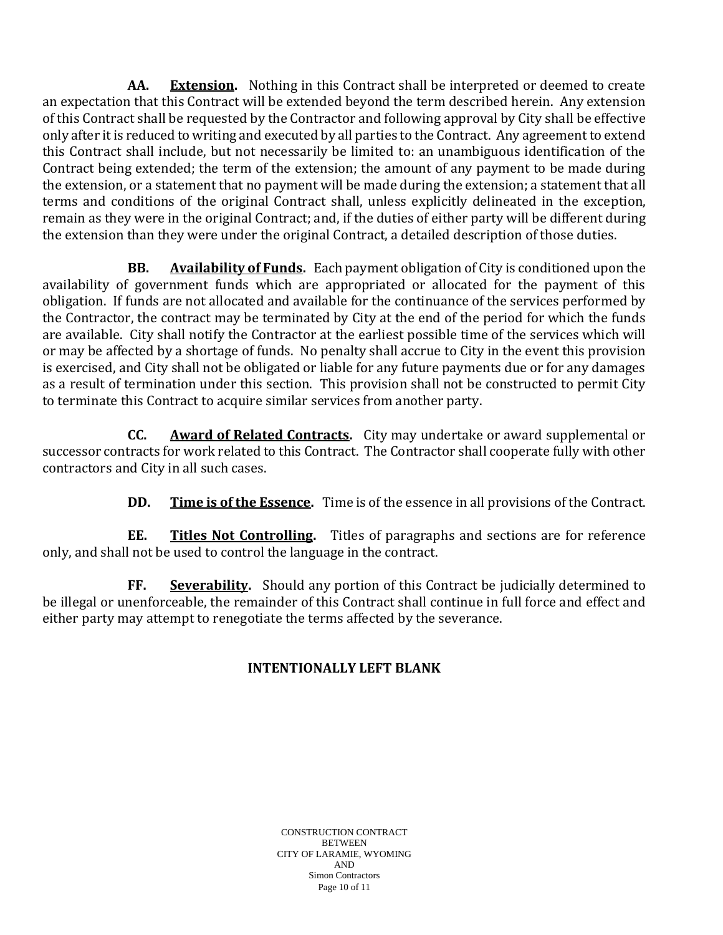**AA. Extension.** Nothing in this Contract shall be interpreted or deemed to create an expectation that this Contract will be extended beyond the term described herein. Any extension of this Contract shall be requested by the Contractor and following approval by City shall be effective only after it is reduced to writing and executed by all parties to the Contract. Any agreement to extend this Contract shall include, but not necessarily be limited to: an unambiguous identification of the Contract being extended; the term of the extension; the amount of any payment to be made during the extension, or a statement that no payment will be made during the extension; a statement that all terms and conditions of the original Contract shall, unless explicitly delineated in the exception, remain as they were in the original Contract; and, if the duties of either party will be different during the extension than they were under the original Contract, a detailed description of those duties.

**BB. Availability of Funds.** Each payment obligation of City is conditioned upon the availability of government funds which are appropriated or allocated for the payment of this obligation. If funds are not allocated and available for the continuance of the services performed by the Contractor, the contract may be terminated by City at the end of the period for which the funds are available. City shall notify the Contractor at the earliest possible time of the services which will or may be affected by a shortage of funds. No penalty shall accrue to City in the event this provision is exercised, and City shall not be obligated or liable for any future payments due or for any damages as a result of termination under this section. This provision shall not be constructed to permit City to terminate this Contract to acquire similar services from another party.

**CC. Award of Related Contracts.** City may undertake or award supplemental or successor contracts for work related to this Contract. The Contractor shall cooperate fully with other contractors and City in all such cases.

**DD.** Time is of the Essence. Time is of the essence in all provisions of the Contract.

**EE. Titles Not Controlling.** Titles of paragraphs and sections are for reference only, and shall not be used to control the language in the contract.

**FF. Severability.** Should any portion of this Contract be judicially determined to be illegal or unenforceable, the remainder of this Contract shall continue in full force and effect and either party may attempt to renegotiate the terms affected by the severance.

### **INTENTIONALLY LEFT BLANK**

CONSTRUCTION CONTRACT **BETWEEN** CITY OF LARAMIE, WYOMING AND Simon Contractors Page 10 of 11